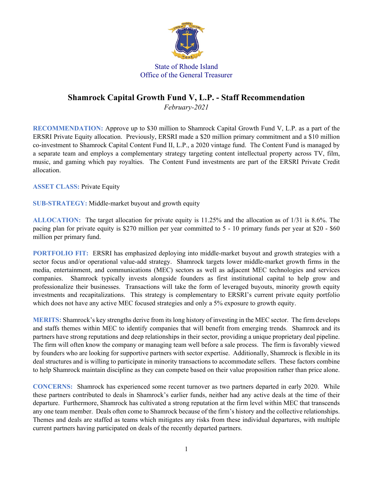

## State of Rhode Island Office of the General Treasurer

## **Shamrock Capital Growth Fund V, L.P. - Staff Recommendation**

*February-2021*

**RECOMMENDATION:** Approve up to \$30 million to Shamrock Capital Growth Fund V, L.P. as a part of the ERSRI Private Equity allocation. Previously, ERSRI made a \$20 million primary commitment and a \$10 million co-investment to Shamrock Capital Content Fund II, L.P., a 2020 vintage fund. The Content Fund is managed by a separate team and employs a complementary strategy targeting content intellectual property across TV, film, music, and gaming which pay royalties. The Content Fund investments are part of the ERSRI Private Credit allocation.

**ASSET CLASS:** Private Equity

**SUB-STRATEGY:** Middle-market buyout and growth equity

**ALLOCATION:** The target allocation for private equity is 11.25% and the allocation as of 1/31 is 8.6%. The pacing plan for private equity is \$270 million per year committed to 5 - 10 primary funds per year at \$20 - \$60 million per primary fund.

**PORTFOLIO FIT:** ERSRI has emphasized deploying into middle-market buyout and growth strategies with a sector focus and/or operational value-add strategy. Shamrock targets lower middle-market growth firms in the media, entertainment, and communications (MEC) sectors as well as adjacent MEC technologies and services companies. Shamrock typically invests alongside founders as first institutional capital to help grow and professionalize their businesses. Transactions will take the form of leveraged buyouts, minority growth equity investments and recapitalizations. This strategy is complementary to ERSRI's current private equity portfolio which does not have any active MEC focused strategies and only a 5% exposure to growth equity.

**MERITS:** Shamrock's key strengths derive from its long history of investing in the MEC sector. The firm develops and staffs themes within MEC to identify companies that will benefit from emerging trends. Shamrock and its partners have strong reputations and deep relationships in their sector, providing a unique proprietary deal pipeline. The firm will often know the company or managing team well before a sale process. The firm is favorably viewed by founders who are looking for supportive partners with sector expertise. Additionally, Shamrock is flexible in its deal structures and is willing to participate in minority transactions to accommodate sellers. These factors combine to help Shamrock maintain discipline as they can compete based on their value proposition rather than price alone.

**CONCERNS:** Shamrock has experienced some recent turnover as two partners departed in early 2020. While these partners contributed to deals in Shamrock's earlier funds, neither had any active deals at the time of their departure. Furthermore, Shamrock has cultivated a strong reputation at the firm level within MEC that transcends any one team member. Deals often come to Shamrock because of the firm's history and the collective relationships. Themes and deals are staffed as teams which mitigates any risks from these individual departures, with multiple current partners having participated on deals of the recently departed partners.